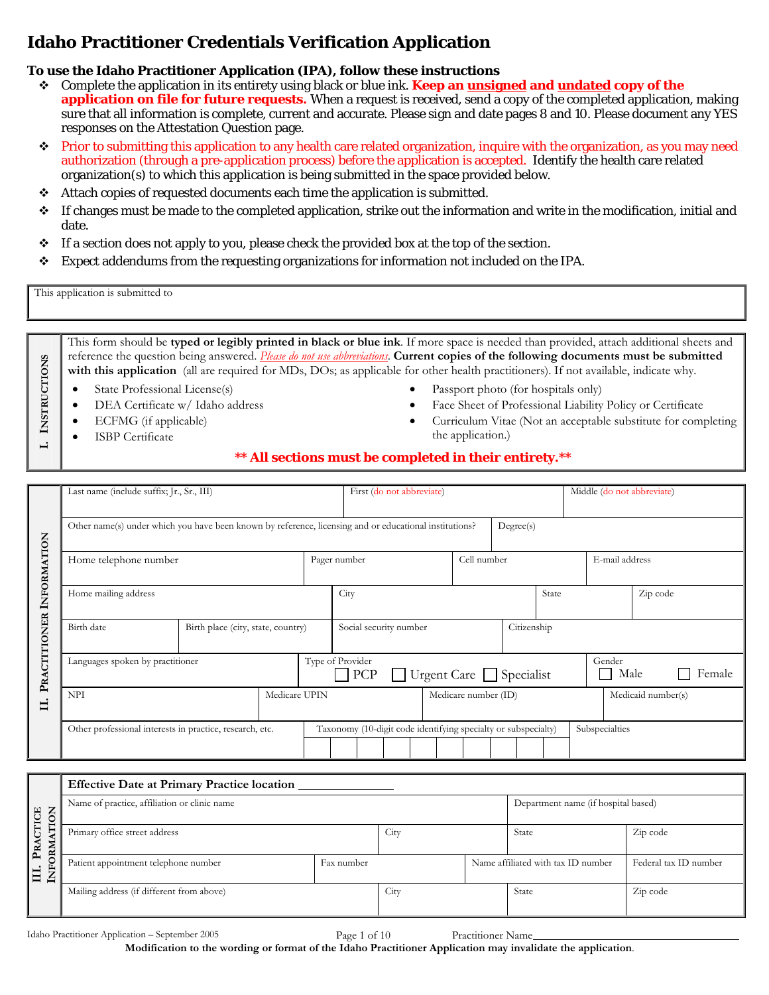# **Idaho Practitioner Credentials Verification Application**

# **To use the Idaho Practitioner Application (IPA), follow these instructions**

- Complete the application in its entirety using black or blue ink. **Keep an unsigned and undated copy of the application on file for future requests.** When a request is received, send a copy of the completed application, making sure that all information is complete, current and accurate. Please sign and date pages 8 and 10. Please document any YES responses on the Attestation Question page.
- Prior to submitting this application to any health care related organization, inquire with the organization, as you may need authorization (through a pre-application process) before the application is accepted. Identify the health care related organization(s) to which this application is being submitted in the space provided below.
- Attach copies of requested documents each time the application is submitted.
- $\cdot \cdot$  If changes must be made to the completed application, strike out the information and write in the modification, initial and date.
- $\div$  If a section does not apply to you, please check the provided box at the top of the section.
- Expect addendums from the requesting organizations for information not included on the IPA.

This application is submitted to

**I. INSTRUCTIONS**

I. INSTRUCTIONS

This form should be **typed or legibly printed in black or blue ink**. If more space is needed than provided, attach additional sheets and reference the question being answered. *Please do not use abbreviations*. **Current copies of the following documents must be submitted**  with this application (all are required for MDs, DOs; as applicable for other health practitioners). If not available, indicate why.

- State Professional License(s)
- DEA Certificate w/ Idaho address
- ECFMG (if applicable)
- **ISBP** Certificate
- Passport photo (for hospitals only)
- Face Sheet of Professional Liability Policy or Certificate
- Curriculum Vitae (Not an acceptable substitute for completing the application.)

## **\*\* All sections must be completed in their entirety.\*\***

|                     | Last name (include suffix; Jr., Sr., III)                                                              |  |  |                                                          |                                                                |                           |                |  |                    |        |                | Middle (do not abbreviate) |  |
|---------------------|--------------------------------------------------------------------------------------------------------|--|--|----------------------------------------------------------|----------------------------------------------------------------|---------------------------|----------------|--|--------------------|--------|----------------|----------------------------|--|
|                     |                                                                                                        |  |  |                                                          |                                                                | First (do not abbreviate) |                |  |                    |        |                |                            |  |
|                     | Other name(s) under which you have been known by reference, licensing and or educational institutions? |  |  |                                                          | Degree(s)                                                      |                           |                |  |                    |        |                |                            |  |
| INFORMATION         | Home telephone number                                                                                  |  |  |                                                          | Cell number<br>Pager number                                    |                           |                |  | E-mail address     |        |                |                            |  |
|                     | Home mailing address                                                                                   |  |  |                                                          | City<br>State                                                  |                           |                |  | Zip code           |        |                |                            |  |
|                     | Birth date<br>Birth place (city, state, country)                                                       |  |  | Social security number                                   |                                                                |                           | Citizenship    |  |                    |        |                |                            |  |
| <b>PRACTITIONER</b> | Languages spoken by practitioner                                                                       |  |  | Type of Provider<br>Urgent Care $\Box$ Specialist<br>PCP |                                                                |                           | Gender<br>Male |  |                    | Female |                |                            |  |
| $\blacksquare$      | Medicare UPIN<br><b>NPI</b>                                                                            |  |  |                                                          | Medicare number (ID)                                           |                           |                |  | Medicaid number(s) |        |                |                            |  |
|                     | Other professional interests in practice, research, etc.                                               |  |  |                                                          | Taxonomy (10-digit code identifying specialty or subspecialty) |                           |                |  |                    |        | Subspecialties |                            |  |

|                                     | <b>Effective Date at Primary Practice location</b> |            |      |                                     |                                    |                       |  |  |
|-------------------------------------|----------------------------------------------------|------------|------|-------------------------------------|------------------------------------|-----------------------|--|--|
| <b>CTICE</b><br>◡<br>$\blacksquare$ | Name of practice, affiliation or clinic name       |            |      | Department name (if hospital based) |                                    |                       |  |  |
| PRA<br><b>RM</b>                    | Primary office street address                      | City       |      | <b>State</b>                        | Zip code                           |                       |  |  |
| $\Xi$<br>'⊐                         | Patient appointment telephone number               | Fax number |      |                                     | Name affiliated with tax ID number | Federal tax ID number |  |  |
|                                     | Mailing address (if different from above)          |            | City |                                     | State                              | Zip code              |  |  |

Idaho Practitioner Application – September 2005 Page 1 of 10 Practitioner Name

**Modification to the wording or format of the Idaho Practitioner Application may invalidate the application**.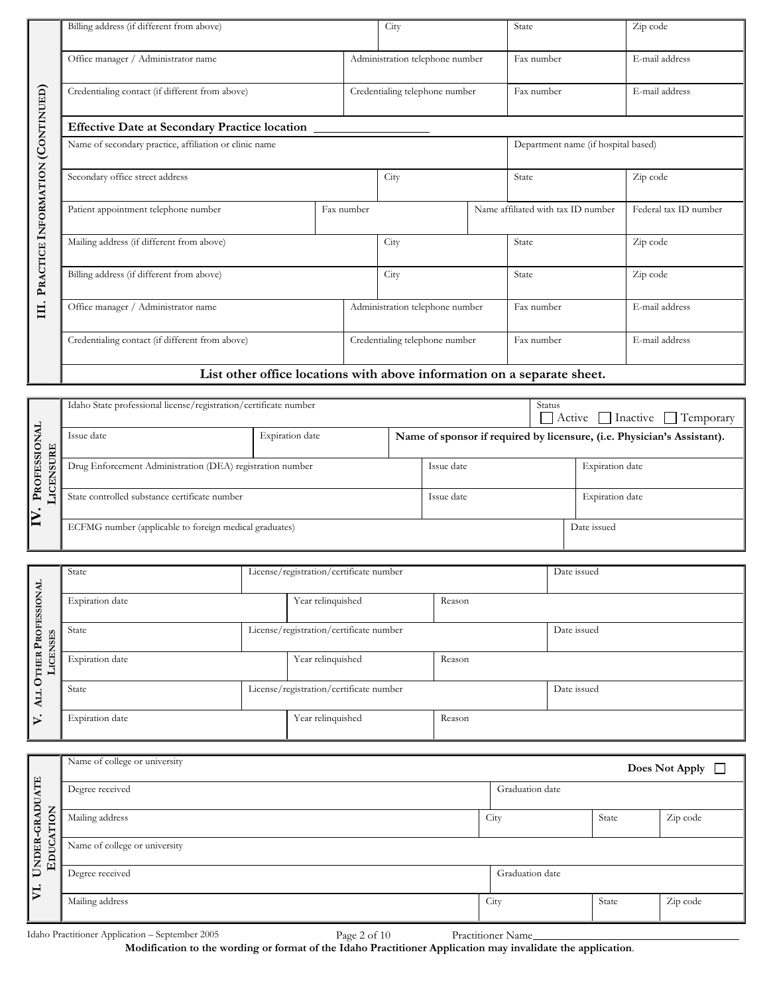|                      | Billing address (if different from above)                               |            | City                                |  | State                              | Zip code              |  |  |
|----------------------|-------------------------------------------------------------------------|------------|-------------------------------------|--|------------------------------------|-----------------------|--|--|
|                      | Office manager / Administrator name                                     |            | Administration telephone number     |  | Fax number                         | E-mail address        |  |  |
|                      | Credentialing contact (if different from above)                         |            | Credentialing telephone number      |  | Fax number                         | E-mail address        |  |  |
|                      | <b>Effective Date at Secondary Practice location</b>                    |            |                                     |  |                                    |                       |  |  |
| (CONTINUED)          | Name of secondary practice, affiliation or clinic name                  |            | Department name (if hospital based) |  |                                    |                       |  |  |
|                      | Secondary office street address                                         |            | City                                |  | State                              | Zip code              |  |  |
|                      | Patient appointment telephone number                                    | Fax number |                                     |  | Name affiliated with tax ID number | Federal tax ID number |  |  |
| PRACTICE INFORMATION | Mailing address (if different from above)                               |            | City                                |  | State                              | Zip code              |  |  |
|                      | Billing address (if different from above)                               |            | City                                |  | State                              | Zip code              |  |  |
| Щ.                   | Office manager / Administrator name                                     |            | Administration telephone number     |  | Fax number                         | E-mail address        |  |  |
|                      | Credentialing contact (if different from above)                         |            | Credentialing telephone number      |  | Fax number                         | E-mail address        |  |  |
|                      | List other office locations with above information on a separate sheet. |            |                                     |  |                                    |                       |  |  |

|                      | Idaho State professional license/registration/certificate number | <b>Status</b><br>Active   Inactive   Temporary<br>$\Box$ |                                                                         |            |                 |  |
|----------------------|------------------------------------------------------------------|----------------------------------------------------------|-------------------------------------------------------------------------|------------|-----------------|--|
| URE                  | Issue date                                                       | Expiration date                                          | Name of sponsor if required by licensure, (i.e. Physician's Assistant). |            |                 |  |
| PROFESSION<br>Š<br>Ē | Drug Enforcement Administration (DEA) registration number        |                                                          |                                                                         | Issue date | Expiration date |  |
|                      | State controlled substance certificate number                    |                                                          |                                                                         | Issue date | Expiration date |  |
| I≥                   | ECFMG number (applicable to foreign medical graduates)           |                                                          |                                                                         |            | Date issued     |  |

|                           | State           |  | License/registration/certificate number | Date issued |             |
|---------------------------|-----------------|--|-----------------------------------------|-------------|-------------|
| <b>OTHER PROFESSIONAL</b> | Expiration date |  | Year relinquished                       | Reason      |             |
| P.                        | State           |  | License/registration/certificate number |             | Date issued |
| ↣<br>_                    | Expiration date |  | Year relinquished                       | Reason      |             |
| <b>ALL</b>                | State           |  | License/registration/certificate number |             | Date issued |
| $\triangleright$          | Expiration date |  | Year relinquished                       | Reason      |             |

|                        | Name of college or university |                 |       | Does Not Apply $\Box$ |  |  |  |
|------------------------|-------------------------------|-----------------|-------|-----------------------|--|--|--|
|                        | Degree received               | Graduation date |       |                       |  |  |  |
| TION<br>€              | Mailing address               | City            | State | Zip code              |  |  |  |
| UNDER-GRADUATE<br>EDUC | Name of college or university |                 |       |                       |  |  |  |
| $\nabla$               | Degree received               | Graduation date |       |                       |  |  |  |
|                        | Mailing address               | City            | State | Zip code              |  |  |  |

Idaho Practitioner Application – September 2005 Page 2 of 10 Practitioner Name **Modification to the wording or format of the Idaho Practitioner Application may invalidate the application**.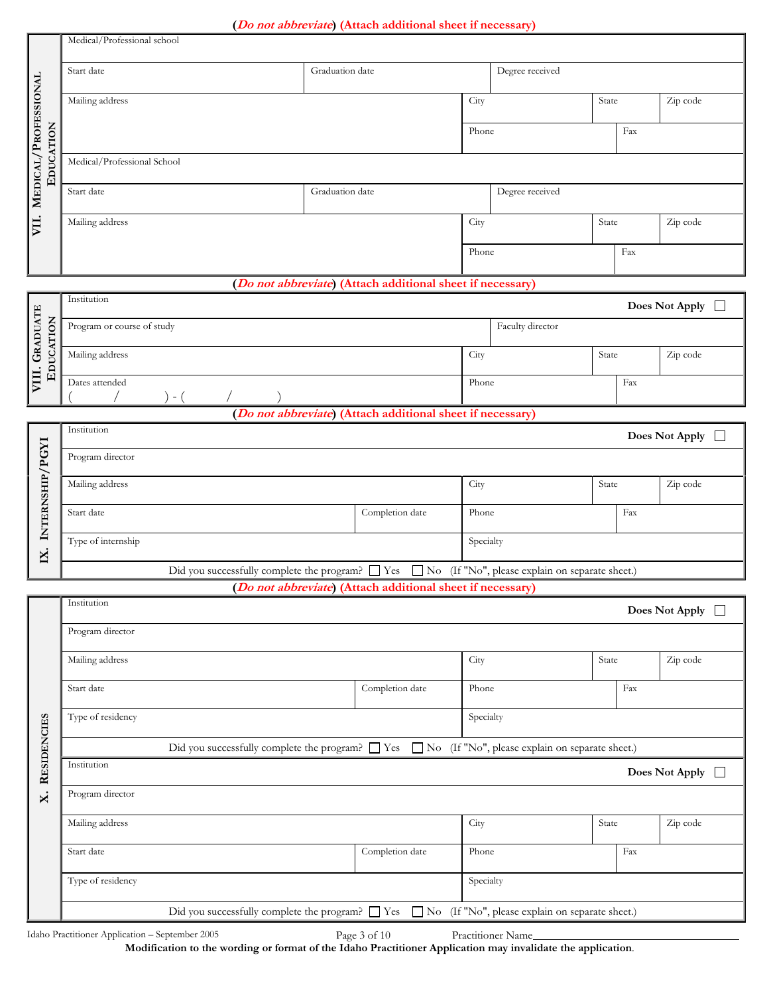|                                                                                                              |                                                                                                              |                 | (Do not abbreviate) (Attach additional sheet if necessary)          |                 |                                                 |       |          |                           |  |
|--------------------------------------------------------------------------------------------------------------|--------------------------------------------------------------------------------------------------------------|-----------------|---------------------------------------------------------------------|-----------------|-------------------------------------------------|-------|----------|---------------------------|--|
|                                                                                                              | Medical/Professional school                                                                                  |                 |                                                                     |                 |                                                 |       |          |                           |  |
|                                                                                                              | Start date                                                                                                   | Graduation date |                                                                     |                 | Degree received                                 |       |          |                           |  |
|                                                                                                              | Mailing address                                                                                              |                 |                                                                     | City            |                                                 | State |          | Zip code                  |  |
| MEDICAL/PROFESSIONAL                                                                                         |                                                                                                              |                 |                                                                     | Phone           |                                                 |       | Fax      |                           |  |
| EDUCATION                                                                                                    | Medical/Professional School                                                                                  |                 |                                                                     |                 |                                                 |       |          |                           |  |
|                                                                                                              | Start date                                                                                                   | Graduation date |                                                                     | Degree received |                                                 |       |          |                           |  |
|                                                                                                              | Mailing address                                                                                              |                 |                                                                     | City            |                                                 | State | Zip code |                           |  |
| VII.                                                                                                         |                                                                                                              |                 |                                                                     |                 |                                                 |       |          |                           |  |
|                                                                                                              |                                                                                                              |                 |                                                                     | Phone           |                                                 |       | Fax      |                           |  |
|                                                                                                              |                                                                                                              |                 | (Do not abbreviate) (Attach additional sheet if necessary)          |                 |                                                 |       |          |                           |  |
|                                                                                                              | Institution                                                                                                  |                 |                                                                     |                 |                                                 |       |          | Does Not Apply $\Box$     |  |
|                                                                                                              | Program or course of study                                                                                   |                 |                                                                     |                 | Faculty director                                |       |          |                           |  |
| VIII. GRADUATE<br>EDUCATION                                                                                  | Mailing address                                                                                              |                 |                                                                     | City            |                                                 | State |          | Zip code                  |  |
|                                                                                                              | Dates attended<br>$-$ (                                                                                      |                 |                                                                     | Phone           |                                                 |       | Fax      |                           |  |
|                                                                                                              |                                                                                                              |                 | (Do not abbreviate) (Attach additional sheet if necessary)          |                 |                                                 |       |          |                           |  |
| Institution<br>Does Not Apply $\Box$                                                                         |                                                                                                              |                 |                                                                     |                 |                                                 |       |          |                           |  |
|                                                                                                              | Program director                                                                                             |                 |                                                                     |                 |                                                 |       |          |                           |  |
|                                                                                                              | Mailing address                                                                                              |                 |                                                                     | City            |                                                 | State |          | Zip code                  |  |
| INTERNSHIP/PGYI                                                                                              | Completion date<br>Start date                                                                                |                 |                                                                     | Phone           |                                                 |       | Fax      |                           |  |
| IX.                                                                                                          | Type of internship                                                                                           |                 |                                                                     | Specialty       |                                                 |       |          |                           |  |
|                                                                                                              | Did you successfully complete the program? $\Box$ Yes $\Box$ No (If "No", please explain on separate sheet.) |                 |                                                                     |                 |                                                 |       |          |                           |  |
|                                                                                                              |                                                                                                              |                 | ( <i>Do not abbreviate</i> ) (Attach additional sheet if necessary) |                 |                                                 |       |          |                           |  |
|                                                                                                              | Institution                                                                                                  |                 |                                                                     |                 |                                                 |       |          | Does Not Apply $\Box$     |  |
|                                                                                                              | Program director                                                                                             |                 |                                                                     |                 |                                                 |       |          |                           |  |
|                                                                                                              | Mailing address                                                                                              |                 |                                                                     | City            |                                                 | State |          | Zip code                  |  |
|                                                                                                              | Start date                                                                                                   |                 | Completion date                                                     |                 | Fax<br>Phone                                    |       |          |                           |  |
|                                                                                                              | Type of residency                                                                                            |                 |                                                                     | Specialty       |                                                 |       |          |                           |  |
|                                                                                                              | Did you successfully complete the program? $\Box$ Yes                                                        |                 |                                                                     |                 | No (If "No", please explain on separate sheet.) |       |          |                           |  |
| <b>RESIDENCIES</b>                                                                                           | Institution                                                                                                  |                 |                                                                     |                 |                                                 |       |          | Does Not Apply $\;\;\Box$ |  |
| $\mathsf{x}$                                                                                                 | Program director                                                                                             |                 |                                                                     |                 |                                                 |       |          |                           |  |
|                                                                                                              | Mailing address                                                                                              |                 |                                                                     | City            |                                                 | State |          | Zip code                  |  |
|                                                                                                              | Start date                                                                                                   |                 | Completion date                                                     | Phone           |                                                 |       | Fax      |                           |  |
|                                                                                                              | Type of residency                                                                                            |                 |                                                                     | Specialty       |                                                 |       |          |                           |  |
| Did you successfully complete the program? $\Box$ Yes $\Box$ No (If "No", please explain on separate sheet.) |                                                                                                              |                 |                                                                     |                 |                                                 |       |          |                           |  |

**Modification to the wording or format of the Idaho Practitioner Application may invalidate the application**.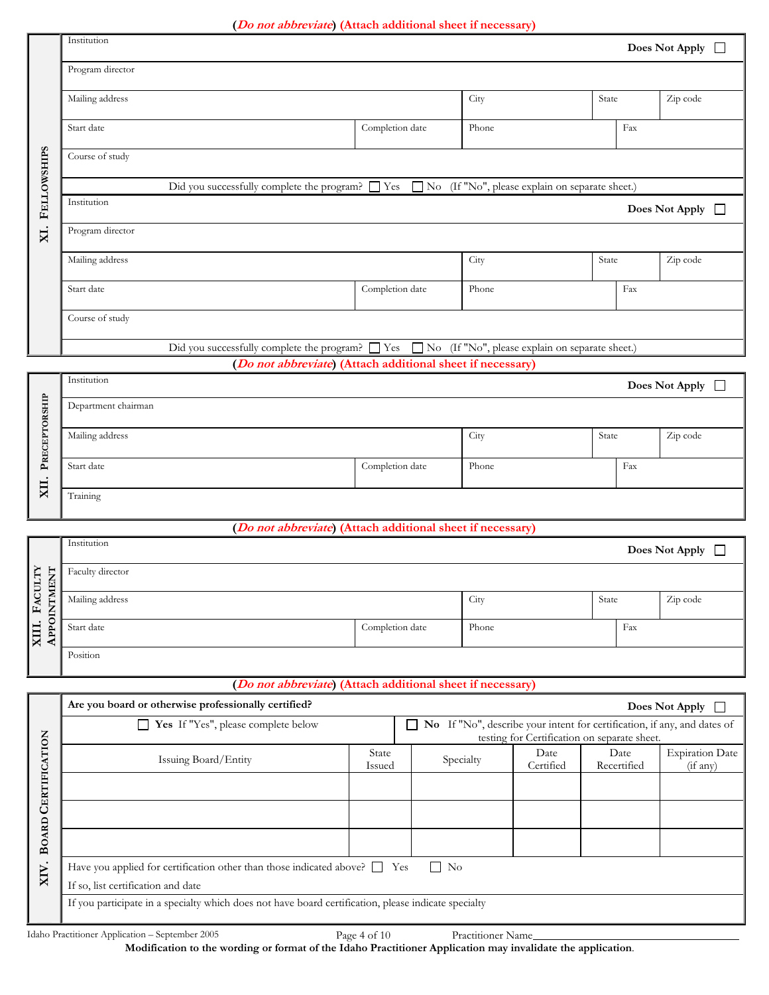#### **(Do not abbreviate) (Attach additional sheet if necessary)**

|             | Institution<br>Does Not Apply $\Box$                                                                            |                                                       |       |                                                   |  |  |  |  |  |  |
|-------------|-----------------------------------------------------------------------------------------------------------------|-------------------------------------------------------|-------|---------------------------------------------------|--|--|--|--|--|--|
|             | Program director                                                                                                |                                                       |       |                                                   |  |  |  |  |  |  |
|             | Mailing address                                                                                                 |                                                       | City  | Zip code<br>State                                 |  |  |  |  |  |  |
|             | Start date                                                                                                      | Completion date                                       | Phone | Fax                                               |  |  |  |  |  |  |
| FELLOWSHIPS | Course of study                                                                                                 |                                                       |       |                                                   |  |  |  |  |  |  |
|             | Did you successfully complete the program? $\Box$ Yes $\Box$ No<br>(If "No", please explain on separate sheet.) |                                                       |       |                                                   |  |  |  |  |  |  |
|             | Institution                                                                                                     | Does Not Apply $\Box$                                 |       |                                                   |  |  |  |  |  |  |
| XI.         | Program director                                                                                                |                                                       |       |                                                   |  |  |  |  |  |  |
|             | Mailing address                                                                                                 |                                                       | City  | Zip code<br>State                                 |  |  |  |  |  |  |
|             | Start date                                                                                                      | Completion date                                       | Phone | Fax                                               |  |  |  |  |  |  |
|             | Course of study                                                                                                 |                                                       |       |                                                   |  |  |  |  |  |  |
|             |                                                                                                                 | Did you successfully complete the program? $\Box$ Yes |       | □ No (If "No", please explain on separate sheet.) |  |  |  |  |  |  |

**(Do not abbreviate) (Attach additional sheet if necessary)**

|                | Institution<br>Does Not Apply $\Box$ |                 |       |       |          |  |  |  |
|----------------|--------------------------------------|-----------------|-------|-------|----------|--|--|--|
| <b>TORSHIP</b> | Department chairman                  |                 |       |       |          |  |  |  |
| PRECEP         | Mailing address                      | City            |       | State | Zip code |  |  |  |
| $\bullet$      | Start date                           | Completion date | Phone |       | Fax      |  |  |  |
| XII            | Training                             |                 |       |       |          |  |  |  |

#### **(Do not abbreviate) (Attach additional sheet if necessary)**

|                      | Institution      |                 |       |       | Does Not Apply $\Box$ |
|----------------------|------------------|-----------------|-------|-------|-----------------------|
| FACULTY<br>È<br>TMEN | Faculty director |                 |       |       |                       |
| $\overline{5}$       | Mailing address  |                 | City  | State | Zip code              |
| XIII.<br>APPO        | Start date       | Completion date | Phone | Fax   |                       |
|                      | Position         |                 |       |       |                       |

#### **(Do not abbreviate) (Attach additional sheet if necessary)**

|          | Are you board or otherwise professionally certified?                                                 | Does Not Apply                                                                                                                                       |           |                   |                     |                                    |  |  |
|----------|------------------------------------------------------------------------------------------------------|------------------------------------------------------------------------------------------------------------------------------------------------------|-----------|-------------------|---------------------|------------------------------------|--|--|
|          | Yes If "Yes", please complete below<br>$\mathsf{L}$                                                  | No If "No", describe your intent for certification, if any, and dates of<br>$\overline{\phantom{a}}$<br>testing for Certification on separate sheet. |           |                   |                     |                                    |  |  |
| NOLL     | Issuing Board/Entity                                                                                 | State<br>Issued                                                                                                                                      | Specialty | Date<br>Certified | Date<br>Recertified | <b>Expiration Date</b><br>(if any) |  |  |
| CERTIFIC |                                                                                                      |                                                                                                                                                      |           |                   |                     |                                    |  |  |
|          |                                                                                                      |                                                                                                                                                      |           |                   |                     |                                    |  |  |
| BOARD    |                                                                                                      |                                                                                                                                                      |           |                   |                     |                                    |  |  |
| XIV.     | Have you applied for certification other than those indicated above? $\Box$ Yes<br>$\Box$ No         |                                                                                                                                                      |           |                   |                     |                                    |  |  |
|          | If so, list certification and date                                                                   |                                                                                                                                                      |           |                   |                     |                                    |  |  |
|          | If you participate in a specialty which does not have board certification, please indicate specialty |                                                                                                                                                      |           |                   |                     |                                    |  |  |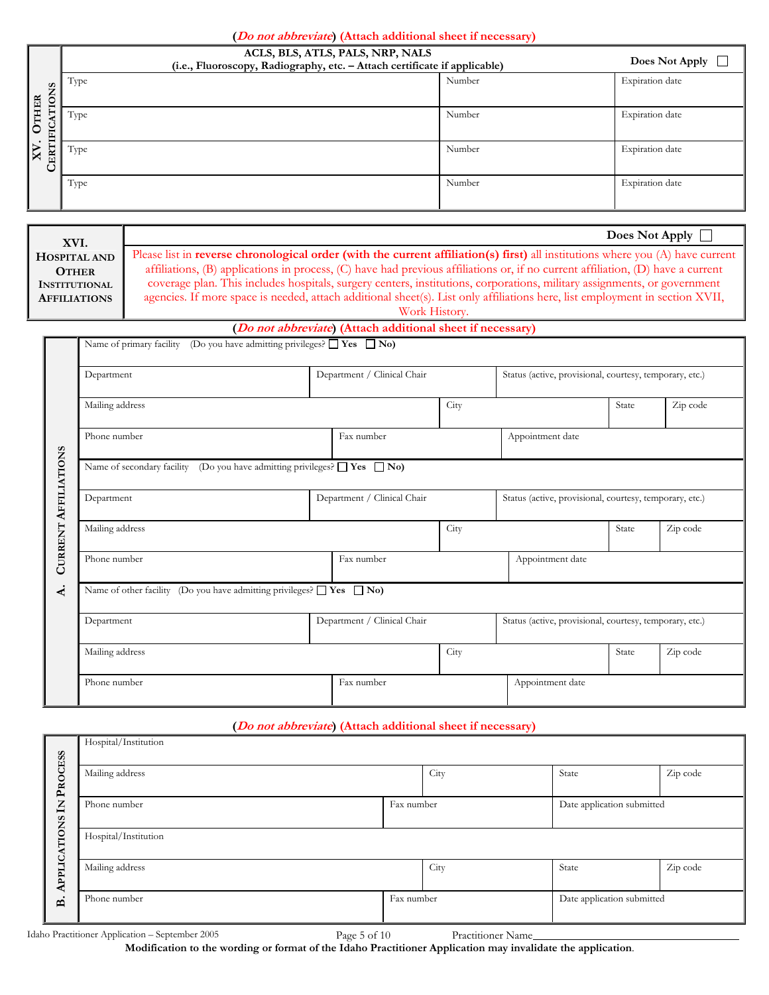|                       | ACLS, BLS, ATLS, PALS, NRP, NALS<br>(i.e., Fluoroscopy, Radiography, etc. - Attach certificate if applicable) | Does Not Apply $\Box$ |                 |
|-----------------------|---------------------------------------------------------------------------------------------------------------|-----------------------|-----------------|
| ONS<br><b>HER</b>     | Type                                                                                                          | Number                | Expiration date |
| ∺<br>-<br>E<br>TIFIC. | Type                                                                                                          | Number                | Expiration date |
| <b>CER</b><br>$\Join$ | Type                                                                                                          | Number                | Expiration date |
|                       | Type                                                                                                          | Number                | Expiration date |

| XVI.                 | Does Not Apply                                                                                                                   |
|----------------------|----------------------------------------------------------------------------------------------------------------------------------|
| HOSPITAL AND         | Please list in reverse chronological order (with the current affiliation(s) first) all institutions where you $(A)$ have current |
|                      |                                                                                                                                  |
| <b>OTHER</b>         | affiliations, (B) applications in process, (C) have had previous affiliations or, if no current affiliation, (D) have a current  |
| <b>INSTITUTIONAL</b> | coverage plan. This includes hospitals, surgery centers, institutions, corporations, military assignments, or government         |
| <b>AFFILIATIONS</b>  | agencies. If more space is needed, attach additional sheet(s). List only affiliations here, list employment in section XVII,     |
|                      | Work History.                                                                                                                    |

#### **(Do not abbreviate) (Attach additional sheet if necessary)**

| Department                                                                          |      | Department / Clinical Chair |      | Status (active, provisional, courtesy, temporary, etc.) |          |          |  |  |
|-------------------------------------------------------------------------------------|------|-----------------------------|------|---------------------------------------------------------|----------|----------|--|--|
| Mailing address                                                                     |      |                             | City |                                                         | State    | Zip code |  |  |
| Phone number                                                                        |      | Fax number                  |      | Appointment date                                        |          |          |  |  |
| Name of secondary facility (Do you have admitting privileges? $\Box$ Yes $\Box$ No) |      |                             |      |                                                         |          |          |  |  |
| Department                                                                          |      | Department / Clinical Chair |      | Status (active, provisional, courtesy, temporary, etc.) |          |          |  |  |
| Mailing address                                                                     | City |                             |      | State                                                   | Zip code |          |  |  |
| Phone number                                                                        |      | Fax number                  |      | Appointment date                                        |          |          |  |  |
| Name of other facility (Do you have admitting privileges? $\Box$ Yes $\Box$ No)     |      |                             |      |                                                         |          |          |  |  |
| Department                                                                          |      | Department / Clinical Chair |      | Status (active, provisional, courtesy, temporary, etc.) |          |          |  |  |
| Mailing address                                                                     |      | City                        |      |                                                         | State    | Zip code |  |  |
| Phone number                                                                        |      | Fax number                  |      | Appointment date                                        |          |          |  |  |

### **(Do not abbreviate) (Attach additional sheet if necessary)**

|              | Hospital/Institution |            |      |                            |          |  |  |
|--------------|----------------------|------------|------|----------------------------|----------|--|--|
| PROCESS      | Mailing address      |            | City | State                      | Zip code |  |  |
| $\Xi$        | Phone number         | Fax number |      | Date application submitted |          |  |  |
| APPLICATIONS | Hospital/Institution |            |      |                            |          |  |  |
|              | Mailing address      |            | City | State                      | Zip code |  |  |
| $\mathbf{a}$ | Phone number         | Fax number |      | Date application submitted |          |  |  |

Idaho Practitioner Application – September 2005 Page 5 of 10 Practitioner Name **Modification to the wording or format of the Idaho Practitioner Application may invalidate the application**.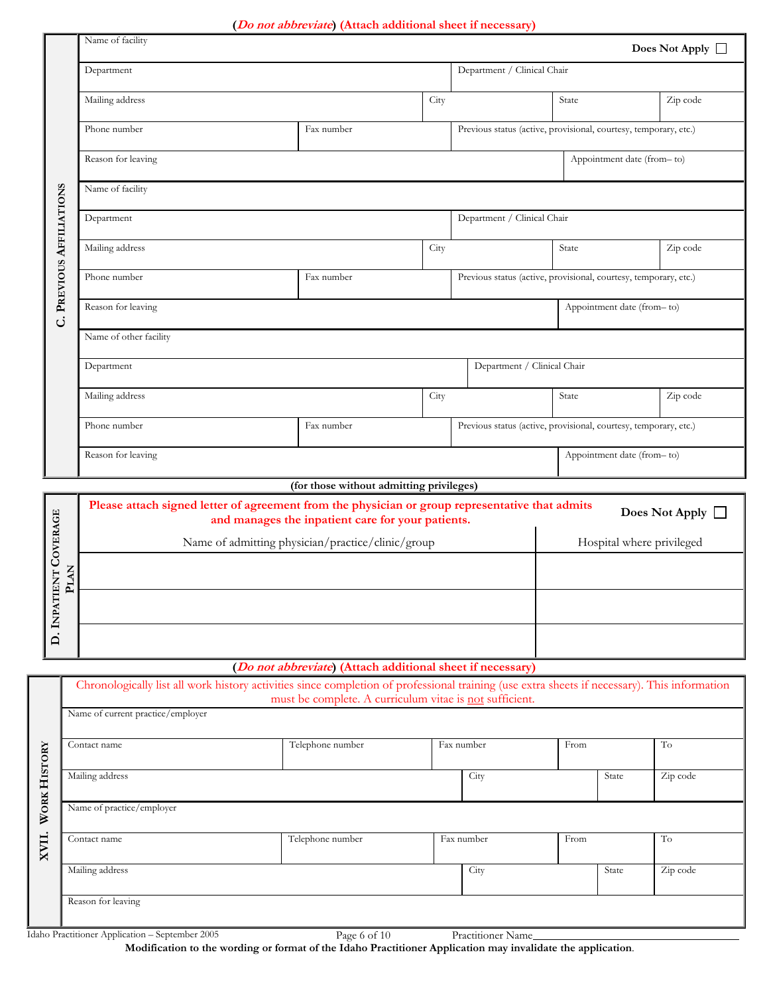#### **(Do not abbreviate) (Attach additional sheet if necessary)**

|                       |      |                                                                                                                                              | ( <i>Do not addreviate</i> ) (Attach additional sneet if necessary) |      |            |                                                                  |       |                            |                       |
|-----------------------|------|----------------------------------------------------------------------------------------------------------------------------------------------|---------------------------------------------------------------------|------|------------|------------------------------------------------------------------|-------|----------------------------|-----------------------|
|                       |      | Name of facility                                                                                                                             |                                                                     |      |            |                                                                  |       |                            | Does Not Apply $\Box$ |
|                       |      | Department                                                                                                                                   |                                                                     |      |            | Department / Clinical Chair                                      |       |                            |                       |
|                       |      | Mailing address                                                                                                                              |                                                                     | City |            |                                                                  | State |                            | Zip code              |
|                       |      | Phone number                                                                                                                                 | Fax number                                                          |      |            | Previous status (active, provisional, courtesy, temporary, etc.) |       |                            |                       |
|                       |      | Reason for leaving                                                                                                                           |                                                                     |      |            |                                                                  |       | Appointment date (from-to) |                       |
|                       |      | Name of facility                                                                                                                             |                                                                     |      |            |                                                                  |       |                            |                       |
| PREVIOUS AFFILIATIONS |      | Department                                                                                                                                   |                                                                     |      |            | Department / Clinical Chair                                      |       |                            |                       |
|                       |      | Mailing address                                                                                                                              |                                                                     | City |            |                                                                  | State |                            | Zip code              |
|                       |      | Phone number                                                                                                                                 | Fax number                                                          |      |            | Previous status (active, provisional, courtesy, temporary, etc.) |       |                            |                       |
| ن                     |      | Reason for leaving                                                                                                                           |                                                                     |      |            |                                                                  |       | Appointment date (from-to) |                       |
|                       |      | Name of other facility                                                                                                                       |                                                                     |      |            |                                                                  |       |                            |                       |
|                       |      | Department                                                                                                                                   |                                                                     |      |            | Department / Clinical Chair                                      |       |                            |                       |
|                       |      | Mailing address                                                                                                                              | City                                                                |      |            |                                                                  | State |                            | Zip code              |
|                       |      | Phone number                                                                                                                                 | Fax number                                                          |      |            | Previous status (active, provisional, courtesy, temporary, etc.) |       |                            |                       |
|                       |      | Reason for leaving                                                                                                                           |                                                                     |      |            |                                                                  |       | Appointment date (from-to) |                       |
|                       |      |                                                                                                                                              | (for those without admitting privileges)                            |      |            |                                                                  |       |                            |                       |
|                       |      | Please attach signed letter of agreement from the physician or group representative that admits                                              | and manages the inpatient care for your patients.                   |      |            |                                                                  |       |                            | Does Not Apply $\Box$ |
| D. INPATIENT COVERAGE |      |                                                                                                                                              | Name of admitting physician/practice/clinic/group                   |      |            |                                                                  |       | Hospital where privileged  |                       |
|                       | NATC |                                                                                                                                              |                                                                     |      |            |                                                                  |       |                            |                       |
|                       |      |                                                                                                                                              |                                                                     |      |            |                                                                  |       |                            |                       |
|                       |      |                                                                                                                                              |                                                                     |      |            |                                                                  |       |                            |                       |
|                       |      |                                                                                                                                              |                                                                     |      |            |                                                                  |       |                            |                       |
|                       |      |                                                                                                                                              | (Do not abbreviate) (Attach additional sheet if necessary)          |      |            |                                                                  |       |                            |                       |
|                       |      | Chronologically list all work history activities since completion of professional training (use extra sheets if necessary). This information | must be complete. A curriculum vitae is not sufficient.             |      |            |                                                                  |       |                            |                       |
|                       |      | Name of current practice/employer                                                                                                            |                                                                     |      |            |                                                                  |       |                            |                       |
|                       |      | Contact name                                                                                                                                 | Telephone number                                                    |      | Fax number |                                                                  | From  |                            | To                    |
| <b>WORK HISTORY</b>   |      | Mailing address                                                                                                                              |                                                                     |      |            | City                                                             |       | State                      | Zip code              |
|                       |      | Name of practice/employer                                                                                                                    |                                                                     |      |            |                                                                  |       |                            |                       |
| XVII.                 |      | Contact name                                                                                                                                 | Telephone number                                                    |      |            | Fax number                                                       | From  |                            | To                    |
|                       |      | Mailing address                                                                                                                              |                                                                     |      |            | City                                                             |       | State                      | Zip code              |

Reason for leaving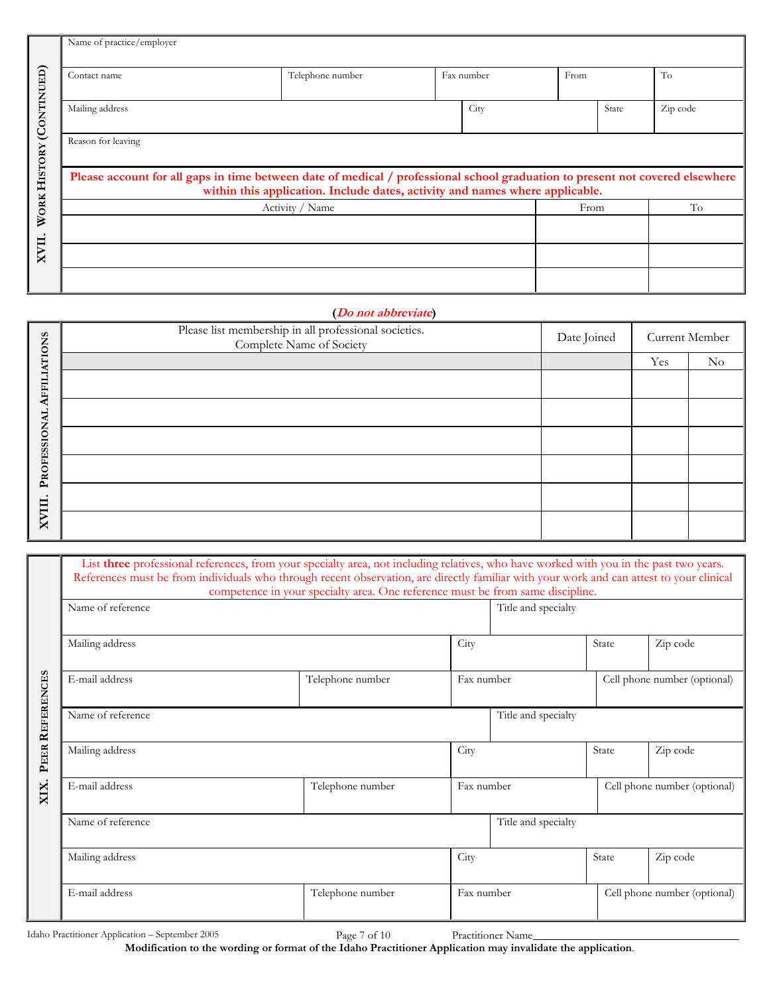|                          | Name of practice/employer                                                                                                                                                                                     |                  |  |            |      |       |          |  |
|--------------------------|---------------------------------------------------------------------------------------------------------------------------------------------------------------------------------------------------------------|------------------|--|------------|------|-------|----------|--|
| WORK HISTORY (CONTINUED) | Contact name                                                                                                                                                                                                  | Telephone number |  | Fax number | From |       | To       |  |
|                          | Mailing address                                                                                                                                                                                               |                  |  | City       |      | State | Zip code |  |
|                          | Reason for leaving                                                                                                                                                                                            |                  |  |            |      |       |          |  |
|                          | Please account for all gaps in time between date of medical / professional school graduation to present not covered elsewhere<br>within this application. Include dates, activity and names where applicable. |                  |  |            |      |       |          |  |
|                          |                                                                                                                                                                                                               | Activity / Name  |  |            | From |       | To       |  |
|                          |                                                                                                                                                                                                               |                  |  |            |      |       |          |  |
| XVII.                    |                                                                                                                                                                                                               |                  |  |            |      |       |          |  |
|                          |                                                                                                                                                                                                               |                  |  |            |      |       |          |  |

#### **(Do not abbreviate)**

|                     | $\overline{\phantom{a}}$<br>Please list membership in all professional societies.<br>Complete Name of Society | Date Joined | Current Member |          |
|---------------------|---------------------------------------------------------------------------------------------------------------|-------------|----------------|----------|
|                     |                                                                                                               |             | Yes            | $\rm No$ |
| <b>AFFILIATIONS</b> |                                                                                                               |             |                |          |
|                     |                                                                                                               |             |                |          |
| PROFESSIONAL        |                                                                                                               |             |                |          |
|                     |                                                                                                               |             |                |          |
|                     |                                                                                                               |             |                |          |
| XVIII.              |                                                                                                               |             |                |          |

|                 | List three professional references, from your specialty area, not including relatives, who have worked with you in the past two years.<br>References must be from individuals who through recent observation, are directly familiar with your work and can attest to your clinical | competence in your specialty area. One reference must be from same discipline. |                     |                     |       |                              |
|-----------------|------------------------------------------------------------------------------------------------------------------------------------------------------------------------------------------------------------------------------------------------------------------------------------|--------------------------------------------------------------------------------|---------------------|---------------------|-------|------------------------------|
|                 | Name of reference                                                                                                                                                                                                                                                                  |                                                                                | Title and specialty |                     |       |                              |
|                 | Mailing address                                                                                                                                                                                                                                                                    |                                                                                | City                |                     | State | Zip code                     |
| PEER REFERENCES | E-mail address                                                                                                                                                                                                                                                                     | Telephone number                                                               | Fax number          |                     |       | Cell phone number (optional) |
|                 | Name of reference                                                                                                                                                                                                                                                                  |                                                                                |                     | Title and specialty |       |                              |
|                 | Mailing address                                                                                                                                                                                                                                                                    |                                                                                | City                |                     | State | Zip code                     |
| XIX.            | E-mail address                                                                                                                                                                                                                                                                     | Telephone number                                                               | Fax number          |                     |       | Cell phone number (optional) |
|                 | Name of reference                                                                                                                                                                                                                                                                  |                                                                                |                     | Title and specialty |       |                              |
|                 | Mailing address                                                                                                                                                                                                                                                                    |                                                                                | City                |                     | State | Zip code                     |
|                 | E-mail address                                                                                                                                                                                                                                                                     | Telephone number                                                               | Fax number          |                     |       | Cell phone number (optional) |

**Modification to the wording or format of the Idaho Practitioner Application may invalidate the application**.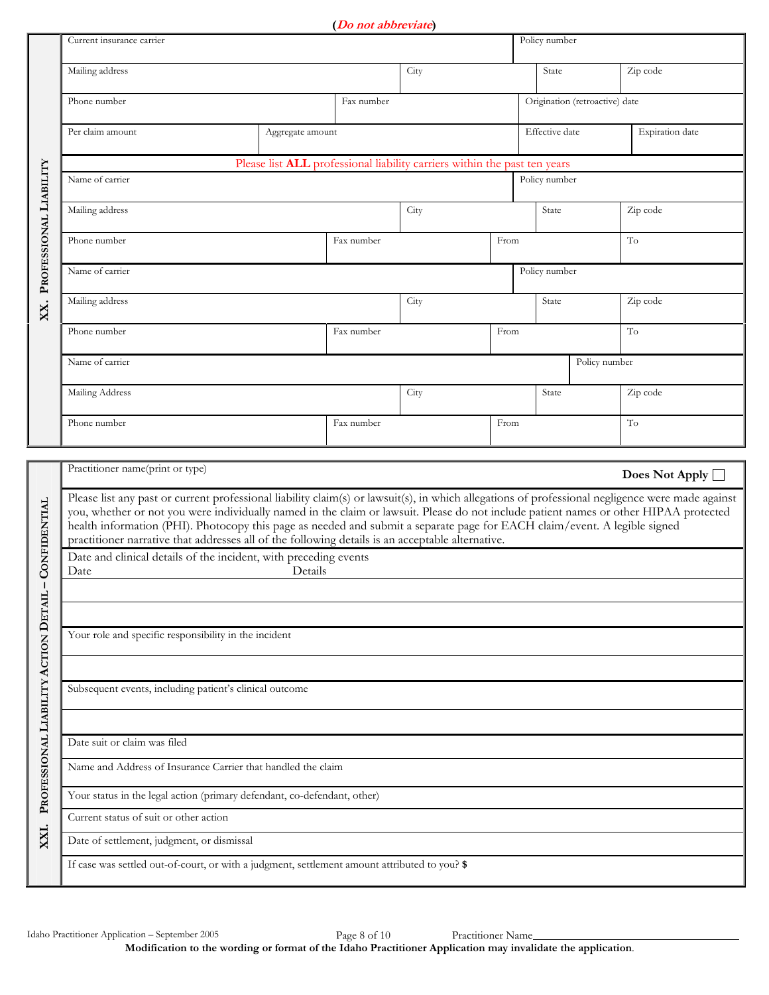**(Do not abbreviate)**

|                                      |                                                                                                                                                                                                                                                                                                                                                                                                                                                                                                                            |                                                       | <u> 20 noi uodie, nie</u> |                                                                                  |      |                |                                |                       |  |
|--------------------------------------|----------------------------------------------------------------------------------------------------------------------------------------------------------------------------------------------------------------------------------------------------------------------------------------------------------------------------------------------------------------------------------------------------------------------------------------------------------------------------------------------------------------------------|-------------------------------------------------------|---------------------------|----------------------------------------------------------------------------------|------|----------------|--------------------------------|-----------------------|--|
|                                      | Policy number<br>Current insurance carrier                                                                                                                                                                                                                                                                                                                                                                                                                                                                                 |                                                       |                           |                                                                                  |      |                |                                |                       |  |
|                                      | Mailing address                                                                                                                                                                                                                                                                                                                                                                                                                                                                                                            |                                                       |                           | City                                                                             |      | State          |                                | Zip code              |  |
|                                      | Phone number                                                                                                                                                                                                                                                                                                                                                                                                                                                                                                               | Fax number                                            |                           |                                                                                  |      |                | Origination (retroactive) date |                       |  |
|                                      | Per claim amount                                                                                                                                                                                                                                                                                                                                                                                                                                                                                                           | Aggregate amount                                      |                           |                                                                                  |      | Effective date |                                | Expiration date       |  |
|                                      |                                                                                                                                                                                                                                                                                                                                                                                                                                                                                                                            |                                                       |                           | Please list <b>ALL</b> professional liability carriers within the past ten years |      |                |                                |                       |  |
|                                      | Name of carrier                                                                                                                                                                                                                                                                                                                                                                                                                                                                                                            |                                                       |                           |                                                                                  |      | Policy number  |                                |                       |  |
| PROFESSIONAL LIABILITY               | Mailing address                                                                                                                                                                                                                                                                                                                                                                                                                                                                                                            |                                                       |                           | City                                                                             |      | State          |                                | Zip code              |  |
|                                      | Phone number                                                                                                                                                                                                                                                                                                                                                                                                                                                                                                               |                                                       | Fax number                |                                                                                  | From |                |                                | To                    |  |
|                                      | Name of carrier                                                                                                                                                                                                                                                                                                                                                                                                                                                                                                            |                                                       |                           |                                                                                  |      | Policy number  |                                |                       |  |
| XX.                                  | Mailing address                                                                                                                                                                                                                                                                                                                                                                                                                                                                                                            |                                                       |                           | City                                                                             |      | State          |                                | Zip code              |  |
|                                      | Phone number                                                                                                                                                                                                                                                                                                                                                                                                                                                                                                               |                                                       | Fax number                |                                                                                  | From |                |                                | To                    |  |
|                                      | Name of carrier                                                                                                                                                                                                                                                                                                                                                                                                                                                                                                            |                                                       |                           |                                                                                  |      |                | Policy number                  |                       |  |
|                                      | Mailing Address                                                                                                                                                                                                                                                                                                                                                                                                                                                                                                            |                                                       |                           | City                                                                             |      | State          |                                | Zip code              |  |
|                                      | Phone number                                                                                                                                                                                                                                                                                                                                                                                                                                                                                                               |                                                       | Fax number                |                                                                                  | From |                |                                | To                    |  |
|                                      | Practitioner name(print or type)                                                                                                                                                                                                                                                                                                                                                                                                                                                                                           |                                                       |                           |                                                                                  |      |                |                                |                       |  |
|                                      |                                                                                                                                                                                                                                                                                                                                                                                                                                                                                                                            |                                                       |                           |                                                                                  |      |                |                                | Does Not Apply $\Box$ |  |
| <b>CONFIDENTIAL</b>                  | Please list any past or current professional liability claim(s) or lawsuit(s), in which allegations of professional negligence were made against<br>you, whether or not you were individually named in the claim or lawsuit. Please do not include patient names or other HIPAA protected<br>health information (PHI). Photocopy this page as needed and submit a separate page for EACH claim/event. A legible signed<br>practitioner narrative that addresses all of the following details is an acceptable alternative. |                                                       |                           |                                                                                  |      |                |                                |                       |  |
|                                      | Date and clinical details of the incident, with preceding events<br>Details<br>Date                                                                                                                                                                                                                                                                                                                                                                                                                                        |                                                       |                           |                                                                                  |      |                |                                |                       |  |
|                                      |                                                                                                                                                                                                                                                                                                                                                                                                                                                                                                                            |                                                       |                           |                                                                                  |      |                |                                |                       |  |
|                                      |                                                                                                                                                                                                                                                                                                                                                                                                                                                                                                                            |                                                       |                           |                                                                                  |      |                |                                |                       |  |
|                                      |                                                                                                                                                                                                                                                                                                                                                                                                                                                                                                                            | Your role and specific responsibility in the incident |                           |                                                                                  |      |                |                                |                       |  |
|                                      |                                                                                                                                                                                                                                                                                                                                                                                                                                                                                                                            |                                                       |                           |                                                                                  |      |                |                                |                       |  |
| PROFESSIONAL LIABILITY ACTION DETAIL | Subsequent events, including patient's clinical outcome                                                                                                                                                                                                                                                                                                                                                                                                                                                                    |                                                       |                           |                                                                                  |      |                |                                |                       |  |
|                                      |                                                                                                                                                                                                                                                                                                                                                                                                                                                                                                                            |                                                       |                           |                                                                                  |      |                |                                |                       |  |
|                                      | Date suit or claim was filed                                                                                                                                                                                                                                                                                                                                                                                                                                                                                               |                                                       |                           |                                                                                  |      |                |                                |                       |  |
|                                      | Name and Address of Insurance Carrier that handled the claim                                                                                                                                                                                                                                                                                                                                                                                                                                                               |                                                       |                           |                                                                                  |      |                |                                |                       |  |
|                                      | Your status in the legal action (primary defendant, co-defendant, other)<br>Current status of suit or other action                                                                                                                                                                                                                                                                                                                                                                                                         |                                                       |                           |                                                                                  |      |                |                                |                       |  |
| XXI.                                 | Date of settlement, judgment, or dismissal                                                                                                                                                                                                                                                                                                                                                                                                                                                                                 |                                                       |                           |                                                                                  |      |                |                                |                       |  |
|                                      |                                                                                                                                                                                                                                                                                                                                                                                                                                                                                                                            |                                                       |                           |                                                                                  |      |                |                                |                       |  |
|                                      | If case was settled out-of-court, or with a judgment, settlement amount attributed to you? \$                                                                                                                                                                                                                                                                                                                                                                                                                              |                                                       |                           |                                                                                  |      |                |                                |                       |  |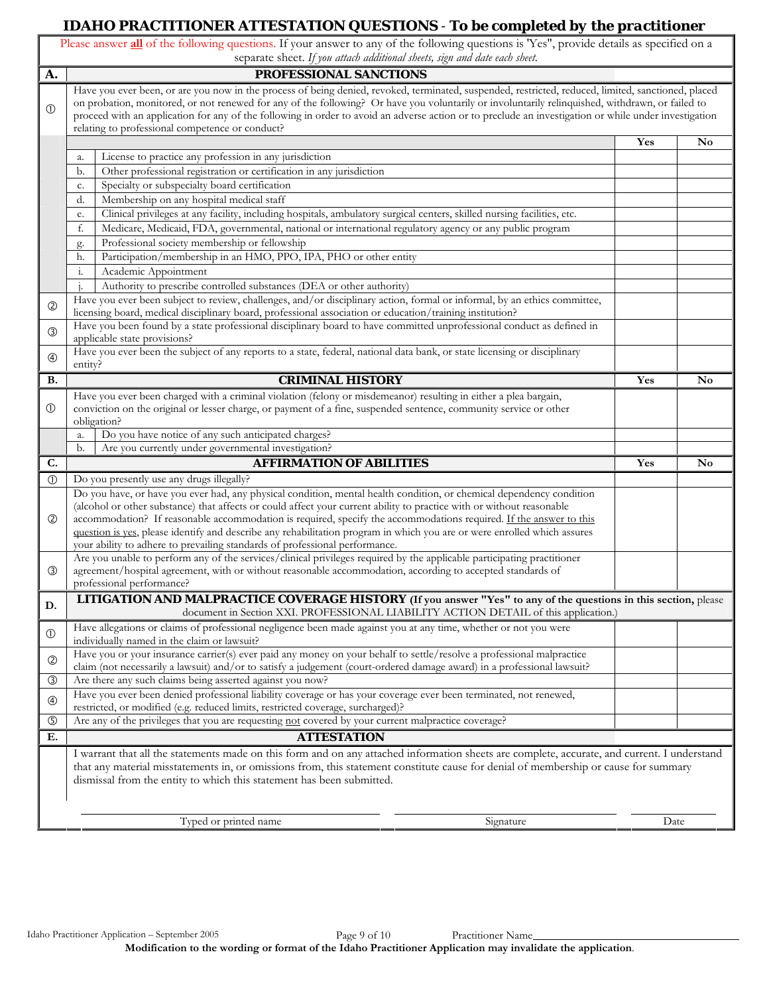# **IDAHO PRACTITIONER ATTESTATION QUESTIONS** - *To be completed by the practitioner*

|                | Please answer all of the following questions. If your answer to any of the following questions is 'Yes", provide details as specified on a<br>separate sheet. If you attach additional sheets, sign and date each sheet.                                                                                                                                                                                                                                                                                                                                                       |     |                        |
|----------------|--------------------------------------------------------------------------------------------------------------------------------------------------------------------------------------------------------------------------------------------------------------------------------------------------------------------------------------------------------------------------------------------------------------------------------------------------------------------------------------------------------------------------------------------------------------------------------|-----|------------------------|
| A.             | PROFESSIONAL SANCTIONS                                                                                                                                                                                                                                                                                                                                                                                                                                                                                                                                                         |     |                        |
| $\circled{0}$  | Have you ever been, or are you now in the process of being denied, revoked, terminated, suspended, restricted, reduced, limited, sanctioned, placed<br>on probation, monitored, or not renewed for any of the following? Or have you voluntarily or involuntarily relinquished, withdrawn, or failed to<br>proceed with an application for any of the following in order to avoid an adverse action or to preclude an investigation or while under investigation<br>relating to professional competence or conduct?                                                            |     |                        |
|                |                                                                                                                                                                                                                                                                                                                                                                                                                                                                                                                                                                                | Yes | $\mathbf{N}\mathbf{o}$ |
|                | License to practice any profession in any jurisdiction<br>a.                                                                                                                                                                                                                                                                                                                                                                                                                                                                                                                   |     |                        |
|                | Other professional registration or certification in any jurisdiction<br>b.                                                                                                                                                                                                                                                                                                                                                                                                                                                                                                     |     |                        |
|                | Specialty or subspecialty board certification<br>c.                                                                                                                                                                                                                                                                                                                                                                                                                                                                                                                            |     |                        |
|                | Membership on any hospital medical staff<br>d.                                                                                                                                                                                                                                                                                                                                                                                                                                                                                                                                 |     |                        |
|                | Clinical privileges at any facility, including hospitals, ambulatory surgical centers, skilled nursing facilities, etc.<br>e.                                                                                                                                                                                                                                                                                                                                                                                                                                                  |     |                        |
|                | Medicare, Medicaid, FDA, governmental, national or international regulatory agency or any public program<br>f.                                                                                                                                                                                                                                                                                                                                                                                                                                                                 |     |                        |
|                | Professional society membership or fellowship<br>g.                                                                                                                                                                                                                                                                                                                                                                                                                                                                                                                            |     |                        |
|                | Participation/membership in an HMO, PPO, IPA, PHO or other entity<br>h.                                                                                                                                                                                                                                                                                                                                                                                                                                                                                                        |     |                        |
|                | Academic Appointment<br>i.                                                                                                                                                                                                                                                                                                                                                                                                                                                                                                                                                     |     |                        |
|                | Authority to prescribe controlled substances (DEA or other authority)<br>1.                                                                                                                                                                                                                                                                                                                                                                                                                                                                                                    |     |                        |
| $^{\circledR}$ | Have you ever been subject to review, challenges, and/or disciplinary action, formal or informal, by an ethics committee,                                                                                                                                                                                                                                                                                                                                                                                                                                                      |     |                        |
|                | licensing board, medical disciplinary board, professional association or education/training institution?<br>Have you been found by a state professional disciplinary board to have committed unprofessional conduct as defined in                                                                                                                                                                                                                                                                                                                                              |     |                        |
| $\circled{3}$  | applicable state provisions?                                                                                                                                                                                                                                                                                                                                                                                                                                                                                                                                                   |     |                        |
| $^{\circledR}$ | Have you ever been the subject of any reports to a state, federal, national data bank, or state licensing or disciplinary<br>entity?                                                                                                                                                                                                                                                                                                                                                                                                                                           |     |                        |
| В.             | <b>CRIMINAL HISTORY</b>                                                                                                                                                                                                                                                                                                                                                                                                                                                                                                                                                        | Yes | No                     |
| ➀              | Have you ever been charged with a criminal violation (felony or misdemeanor) resulting in either a plea bargain,<br>conviction on the original or lesser charge, or payment of a fine, suspended sentence, community service or other<br>obligation?                                                                                                                                                                                                                                                                                                                           |     |                        |
|                | Do you have notice of any such anticipated charges?<br>a.                                                                                                                                                                                                                                                                                                                                                                                                                                                                                                                      |     |                        |
|                | Are you currently under governmental investigation?<br>b.                                                                                                                                                                                                                                                                                                                                                                                                                                                                                                                      |     |                        |
| C.             | <b>AFFIRMATION OF ABILITIES</b>                                                                                                                                                                                                                                                                                                                                                                                                                                                                                                                                                | Yes | No                     |
| $\circled{0}$  | Do you presently use any drugs illegally?                                                                                                                                                                                                                                                                                                                                                                                                                                                                                                                                      |     |                        |
| $^{\circledR}$ | Do you have, or have you ever had, any physical condition, mental health condition, or chemical dependency condition<br>(alcohol or other substance) that affects or could affect your current ability to practice with or without reasonable<br>accommodation? If reasonable accommodation is required, specify the accommodations required. If the answer to this<br>question is yes, please identify and describe any rehabilitation program in which you are or were enrolled which assures<br>your ability to adhere to prevailing standards of professional performance. |     |                        |
| ③              | Are you unable to perform any of the services/clinical privileges required by the applicable participating practitioner<br>agreement/hospital agreement, with or without reasonable accommodation, according to accepted standards of<br>professional performance?                                                                                                                                                                                                                                                                                                             |     |                        |
| D.             | <b>LITIGATION AND MALPRACTICE COVERAGE HISTORY</b> (If you answer "Yes" to any of the questions in this section, please<br>document in Section XXI. PROFESSIONAL LIABILITY ACTION DETAIL of this application.)                                                                                                                                                                                                                                                                                                                                                                 |     |                        |
| $\circledD$    | Have allegations or claims of professional negligence been made against you at any time, whether or not you were<br>individually named in the claim or lawsuit?                                                                                                                                                                                                                                                                                                                                                                                                                |     |                        |
| $^{\circledR}$ | Have you or your insurance carrier(s) ever paid any money on your behalf to settle/resolve a professional malpractice<br>claim (not necessarily a lawsuit) and/or to satisfy a judgement (court-ordered damage award) in a professional lawsuit?                                                                                                                                                                                                                                                                                                                               |     |                        |
| ③              | Are there any such claims being asserted against you now?                                                                                                                                                                                                                                                                                                                                                                                                                                                                                                                      |     |                        |
| $^{\circledR}$ | Have you ever been denied professional liability coverage or has your coverage ever been terminated, not renewed,                                                                                                                                                                                                                                                                                                                                                                                                                                                              |     |                        |
| $\circledS$    | restricted, or modified (e.g. reduced limits, restricted coverage, surcharged)?<br>Are any of the privileges that you are requesting not covered by your current malpractice coverage?                                                                                                                                                                                                                                                                                                                                                                                         |     |                        |
| Е.             | <b>ATTESTATION</b>                                                                                                                                                                                                                                                                                                                                                                                                                                                                                                                                                             |     |                        |
|                | I warrant that all the statements made on this form and on any attached information sheets are complete, accurate, and current. I understand<br>that any material misstatements in, or omissions from, this statement constitute cause for denial of membership or cause for summary<br>dismissal from the entity to which this statement has been submitted.                                                                                                                                                                                                                  |     |                        |
|                | Typed or printed name<br>Signature                                                                                                                                                                                                                                                                                                                                                                                                                                                                                                                                             |     | Date                   |